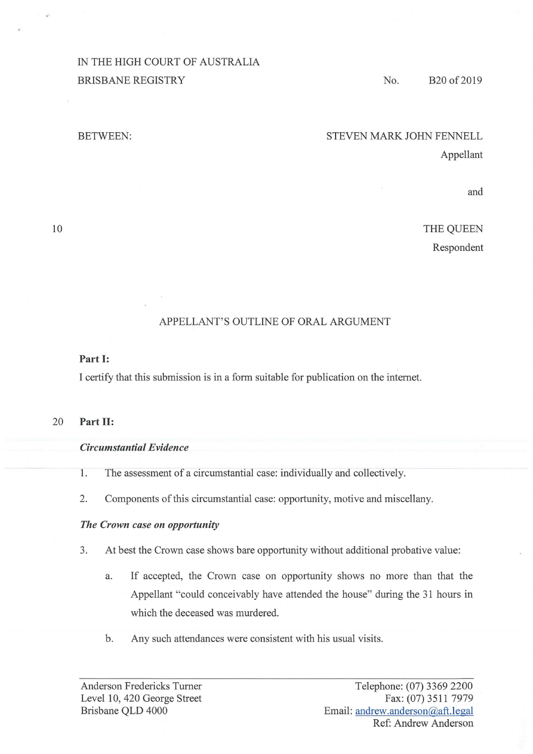# IN THE HIGH COURT OF AUSTRALIA BRISBANE REGISTRY

### No. B20 of 2019

#### BETWEEN:

### STEVEN MARK JOHN FENNELL

Appellant

and

THE QUEEN Respondent

## APPELLANT'S OUTLINE OF ORAL ARGUMENT

#### **Part I:**

I certify that this submission is in a form suitable for publication on the internet.

#### 20 **Part II:**

#### *Circumstantial Evidence*

- 1. The assessment of a circumstantial case: individually and collectively.
- 2. Components of this circumstantial case: opportunity, motive and miscellany.

### *The Crown case on opportunity*

- 3. At best the Crown case shows bare opportunity without additional probative value:
	- a. If accepted, the Crown case on opportunity shows no more than that the Appellant "could conceivably have attended the house" during the 31 hours in which the deceased was murdered.
	- b. Any such attendances were consistent with his usual visits.

10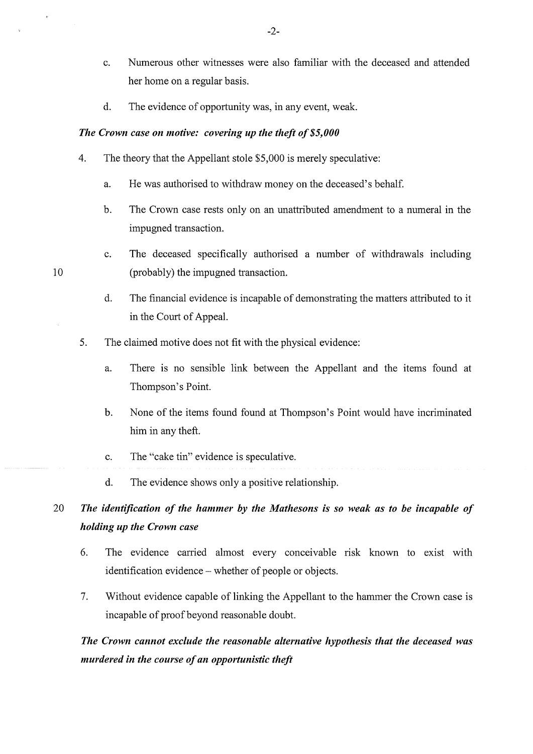- c. Numerous other witnesses were also familiar with the deceased and attended her home on a regular basis.
- d. The evidence of opportunity was, in any event, weak.

#### *The Crown case on motive: covering up the theft of \$5,000*

- 4. The theory that the Appellant stole \$5,000 is merely speculative:
	- a. He was authorised to withdraw money on the deceased's behalf.
	- b. The Crown case rests only on an unattributed amendment to a numeral in the impugned transaction.
	- **c.** The deceased specifically authorised a number of withdrawals including (probably) the impugned transaction.
	- d. The financial evidence is incapable of demonstrating the matters attributed to it in the Court of Appeal.
- 5. The claimed motive does not fit with the physical evidence:
	- a. There is no sensible link between the Appellant and the items found at Thompson's Point.
	- b. None of the items found found at Thompson's Point would have incriminated him in any theft.
	- c. The "cake tin" evidence is speculative.
	- d. The evidence shows only a positive relationship.

# 20 *The identification of the hammer by the Mathesons is so weak as to be incapable of holding up the Crown case*

- 6. The evidence carried almost every conceivable risk known to exist with identification evidence - whether of people or objects.
- 7. Without evidence capable of linking the Appellant to the hammer the Crown case is incapable of proof beyond reasonable doubt.

# *The Crown cannot exclude the reasonable alternative hypothesis that the deceased was murdered in the course of an opportunistic theft*

10